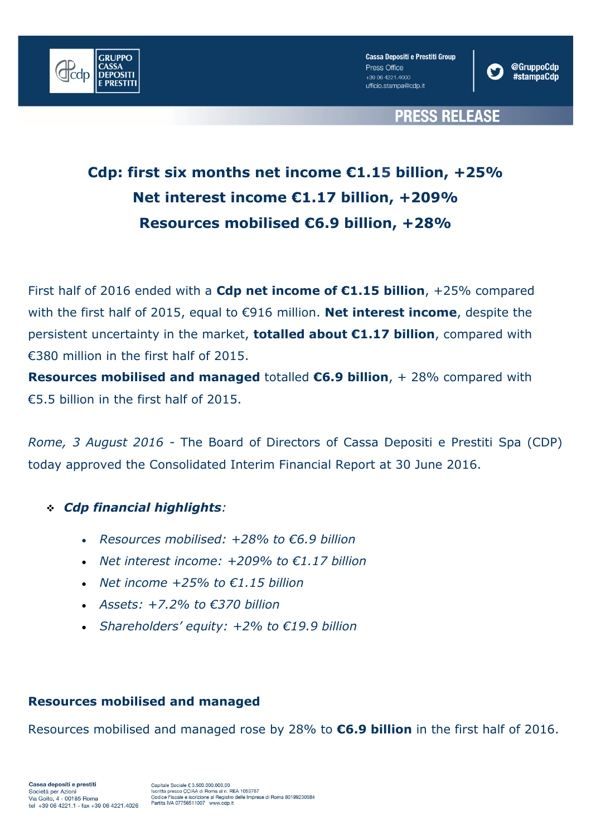

**Cassa Depositi e Prestiti Group** Press Office +39 06 4221.4000 ufficio.stampa@cdp.it



**PRESS RELEASE** 

# **Cdp: first six months net income €1.15 billion, +25% Net interest income €1.17 billion, +209% Resources mobilised €6.9 billion, +28%**

First half of 2016 ended with a **Cdp net income of €1.15 billion**, +25% compared with the first half of 2015, equal to €916 million. **Net interest income**, despite the persistent uncertainty in the market, **totalled about €1.17 billion**, compared with €380 million in the first half of 2015.

**Resources mobilised and managed** totalled **€6.9 billion**, + 28% compared with €5.5 billion in the first half of 2015.

*Rome, 3 August 2016* - The Board of Directors of Cassa Depositi e Prestiti Spa (CDP) today approved the Consolidated Interim Financial Report at 30 June 2016.

### *Cdp financial highlights:*

- *Resources mobilised: +28% to €6.9 billion*
- *Net interest income: +209% to €1.17 billion*
- *Net income +25% to €1.15 billion*
- *Assets: +7.2% to €370 billion*
- *Shareholders' equity: +2% to €19.9 billion*

### **Resources mobilised and managed**

Resources mobilised and managed rose by 28% to **€6.9 billion** in the first half of 2016.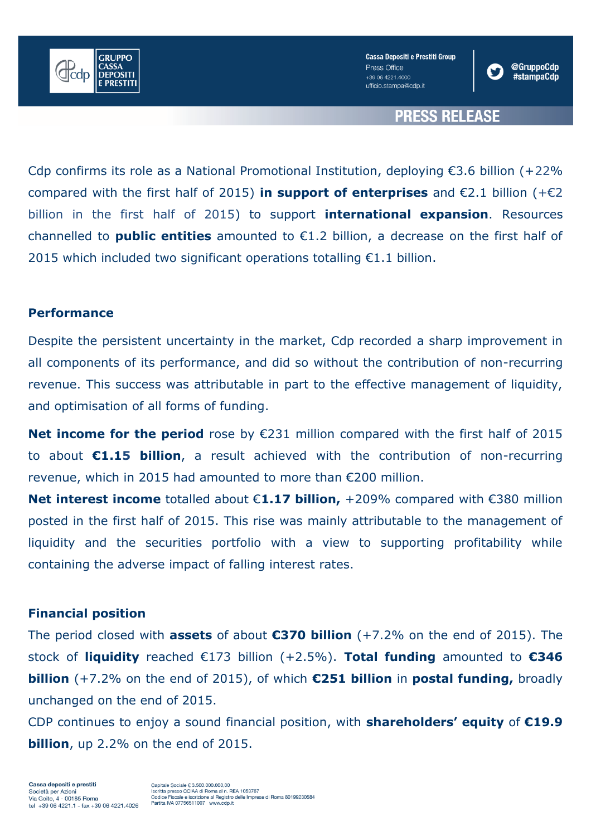

**Cassa Depositi e Prestiti Group** Press Office +39.06.4221.4000 ufficio.stampa@cdp.it



## **PRESS RELEASE**

Cdp confirms its role as a National Promotional Institution, deploying  $\epsilon$ 3.6 billion (+22%) compared with the first half of 2015) **in support of enterprises** and €2.1 billion (+€2 billion in the first half of 2015) to support **international expansion**. Resources channelled to **public entities** amounted to €1.2 billion, a decrease on the first half of 2015 which included two significant operations totalling €1.1 billion.

#### **Performance**

Despite the persistent uncertainty in the market, Cdp recorded a sharp improvement in all components of its performance, and did so without the contribution of non-recurring revenue. This success was attributable in part to the effective management of liquidity, and optimisation of all forms of funding.

**Net income for the period** rose by €231 million compared with the first half of 2015 to about **€1.15 billion**, a result achieved with the contribution of non-recurring revenue, which in 2015 had amounted to more than €200 million.

**Net interest income** totalled about €**1.17 billion,** +209% compared with €380 million posted in the first half of 2015. This rise was mainly attributable to the management of liquidity and the securities portfolio with a view to supporting profitability while containing the adverse impact of falling interest rates.

#### **Financial position**

The period closed with **assets** of about **€370 billion** (+7.2% on the end of 2015). The stock of **liquidity** reached €173 billion (+2.5%). **Total funding** amounted to **€346 billion** (+7.2% on the end of 2015), of which **€251 billion** in **postal funding,** broadly unchanged on the end of 2015.

CDP continues to enjoy a sound financial position, with **shareholders' equity** of **€19.9 billion**, up 2.2% on the end of 2015.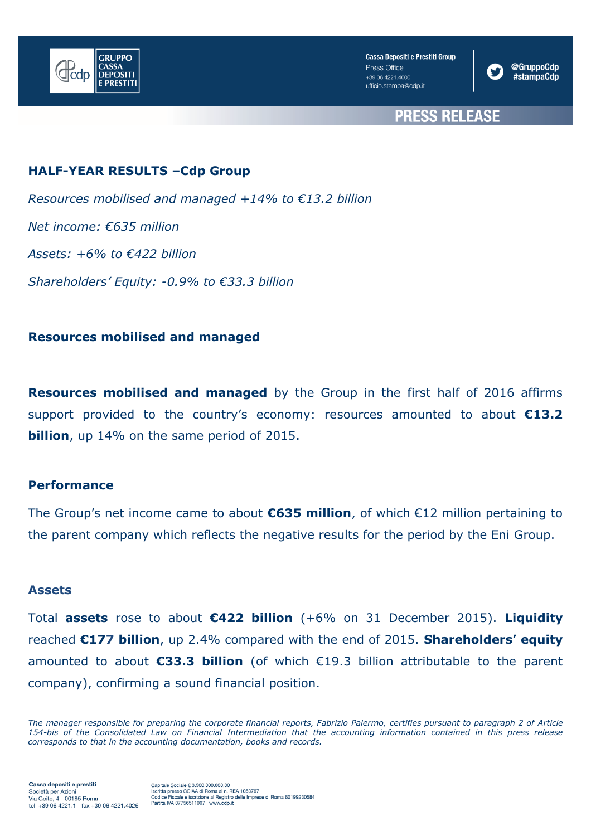



## **PRESS RELEASE**

### **HALF-YEAR RESULTS –Cdp Group**

*Resources mobilised and managed +14% to €13.2 billion Net income: €635 million Assets: +6% to €422 billion Shareholders' Equity: -0.9% to €33.3 billion*

#### **Resources mobilised and managed**

**Resources mobilised and managed** by the Group in the first half of 2016 affirms support provided to the country's economy: resources amounted to about **€13.2 billion**, up 14% on the same period of 2015.

#### **Performance**

The Group's net income came to about **€635 million**, of which €12 million pertaining to the parent company which reflects the negative results for the period by the Eni Group.

#### **Assets**

Total **assets** rose to about **€422 billion** (+6% on 31 December 2015). **Liquidity**  reached **€177 billion**, up 2.4% compared with the end of 2015. **Shareholders' equity**  amounted to about **€33.3 billion** (of which €19.3 billion attributable to the parent company), confirming a sound financial position.

*The manager responsible for preparing the corporate financial reports, Fabrizio Palermo, certifies pursuant to paragraph 2 of Article 154-bis of the Consolidated Law on Financial Intermediation that the accounting information contained in this press release corresponds to that in the accounting documentation, books and records.*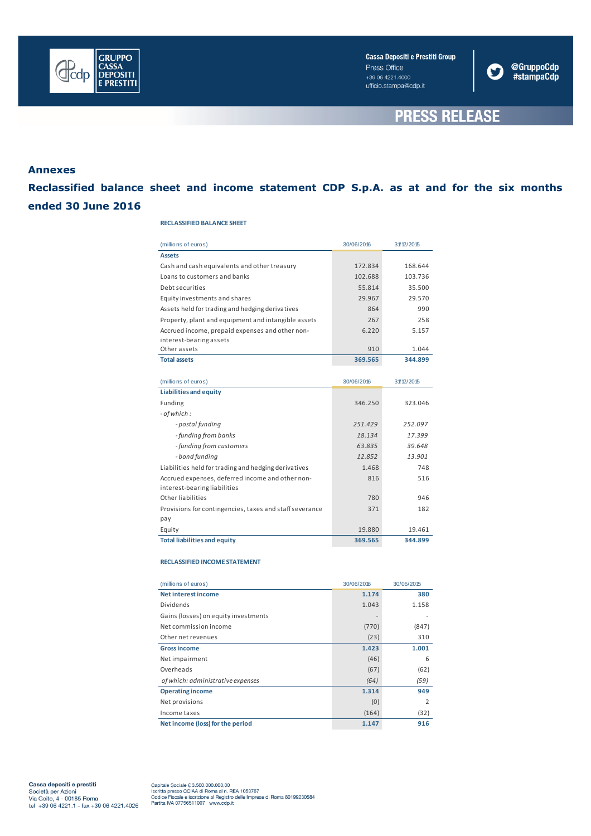

Cassa Depositi e Prestiti Group Press Office +39 06 4221.4000 ufficio.stampa@cdp.it



## **PRESS RELEASE**

#### **Annexes**

**Reclassified balance sheet and income statement CDP S.p.A. as at and for the six months ended 30 June 2016**

#### **RECLASSIFIED BALANCE SHEET**

| (millions of euros)                                     | 30/06/2016 | 31/12/2015 |
|---------------------------------------------------------|------------|------------|
| <b>Assets</b>                                           |            |            |
| Cash and cash equivalents and other treasury            | 172.834    | 168.644    |
| Loans to customers and banks                            | 102.688    | 103.736    |
| Debt securities                                         | 55.814     | 35.500     |
| Equity investments and shares                           | 29.967     | 29.570     |
| Assets held for trading and hedging derivatives         | 864        | 990        |
| Property, plant and equipment and intangible assets     | 267        | 258        |
| Accrued income, prepaid expenses and other non-         | 6.220      | 5.157      |
| interest-bearing assets                                 |            |            |
| Other assets                                            | 910        | 1.044      |
| <b>Total assets</b>                                     | 369.565    | 344.899    |
|                                                         |            |            |
| (millions of euros)                                     | 30/06/2016 | 31/12/2015 |
| <b>Liabilities and equity</b>                           |            |            |
| Funding                                                 | 346.250    | 323.046    |
| - of which :                                            |            |            |
| - postal funding                                        | 251.429    | 252.097    |
| - funding from banks                                    | 18.134     | 17.399     |
| - funding from customers                                | 63.835     | 39.648     |
| - bond funding                                          | 12.852     | 13.901     |
| Liabilities held for trading and hedging derivatives    | 1.468      | 748        |
| Accrued expenses, deferred income and other non-        | 816        | 516        |
| interest-bearing liabilities                            |            |            |
| Other liabilities                                       | 780        | 946        |
| Provisions for contingencies, taxes and staff severance | 371        | 182        |
| pay                                                     |            |            |
| Equity                                                  | 19.880     | 19.461     |
| <b>Total liabilities and equity</b>                     | 369.565    | 344.899    |

#### **RECLASSIFIED INCOME STATEMENT**

| (millions of euros)                  | 30/06/2016 | 30/06/2015     |
|--------------------------------------|------------|----------------|
| <b>Net interest income</b>           | 1.174      | 380            |
| <b>Dividends</b>                     | 1.043      | 1.158          |
| Gains (losses) on equity investments |            |                |
| Net commission income                | (770)      | (847)          |
| Other net revenues                   | (23)       | 310            |
| <b>Gross income</b>                  | 1.423      | 1.001          |
| Net impairment                       | (46)       | 6              |
| Overheads                            | (67)       | (62)           |
| of which: administrative expenses    | (64)       | (59)           |
| <b>Operating income</b>              | 1.314      | 949            |
| Net provisions                       | (0)        | $\overline{2}$ |
| Income taxes                         | (164)      | (32)           |
| Net income (loss) for the period     | 1.147      | 916            |

**Cassa depositi e prestiti**<br>Società per Azioni<br>Via Goito, 4 - 00185 Roma<br>tel +39 06 4221.1 - fax +39 06 4221.4026